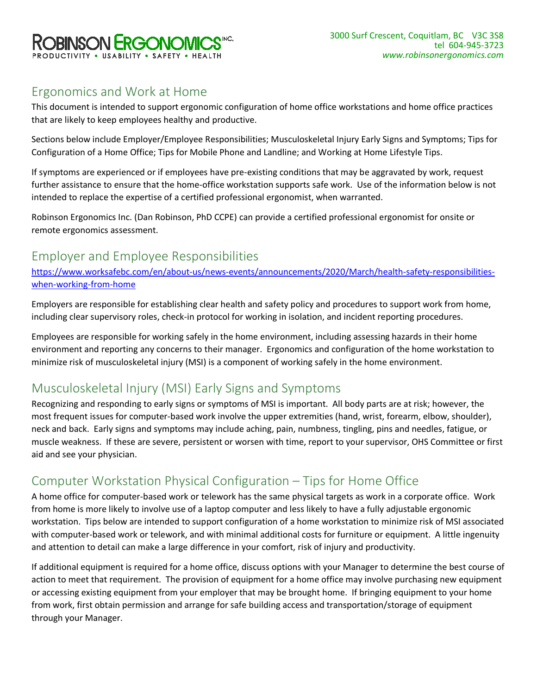

## Ergonomics and Work at Home

This document is intended to support ergonomic configuration of home office workstations and home office practices that are likely to keep employees healthy and productive.

Sections below include Employer/Employee Responsibilities; Musculoskeletal Injury Early Signs and Symptoms; Tips for Configuration of a Home Office; Tips for Mobile Phone and Landline; and Working at Home Lifestyle Tips.

If symptoms are experienced or if employees have pre-existing conditions that may be aggravated by work, request further assistance to ensure that the home-office workstation supports safe work. Use of the information below is not intended to replace the expertise of a certified professional ergonomist, when warranted.

Robinson Ergonomics Inc. (Dan Robinson, PhD CCPE) can provide a certified professional ergonomist for onsite or remote ergonomics assessment.

## Employer and Employee Responsibilities

[https://www.worksafebc.com/en/about-us/news-events/announcements/2020/March/health-safety-responsibilities](https://www.worksafebc.com/en/about-us/news-events/announcements/2020/March/health-safety-responsibilities-when-working-from-home)[when-working-from-home](https://www.worksafebc.com/en/about-us/news-events/announcements/2020/March/health-safety-responsibilities-when-working-from-home)

Employers are responsible for establishing clear health and safety policy and procedures to support work from home, including clear supervisory roles, check-in protocol for working in isolation, and incident reporting procedures.

Employees are responsible for working safely in the home environment, including assessing hazards in their home environment and reporting any concerns to their manager. Ergonomics and configuration of the home workstation to minimize risk of musculoskeletal injury (MSI) is a component of working safely in the home environment.

# Musculoskeletal Injury (MSI) Early Signs and Symptoms

Recognizing and responding to early signs or symptoms of MSI is important. All body parts are at risk; however, the most frequent issues for computer-based work involve the upper extremities (hand, wrist, forearm, elbow, shoulder), neck and back. Early signs and symptoms may include aching, pain, numbness, tingling, pins and needles, fatigue, or muscle weakness. If these are severe, persistent or worsen with time, report to your supervisor, OHS Committee or first aid and see your physician.

# Computer Workstation Physical Configuration – Tips for Home Office

A home office for computer-based work or telework has the same physical targets as work in a corporate office. Work from home is more likely to involve use of a laptop computer and less likely to have a fully adjustable ergonomic workstation. Tips below are intended to support configuration of a home workstation to minimize risk of MSI associated with computer-based work or telework, and with minimal additional costs for furniture or equipment. A little ingenuity and attention to detail can make a large difference in your comfort, risk of injury and productivity.

If additional equipment is required for a home office, discuss options with your Manager to determine the best course of action to meet that requirement. The provision of equipment for a home office may involve purchasing new equipment or accessing existing equipment from your employer that may be brought home. If bringing equipment to your home from work, first obtain permission and arrange for safe building access and transportation/storage of equipment through your Manager.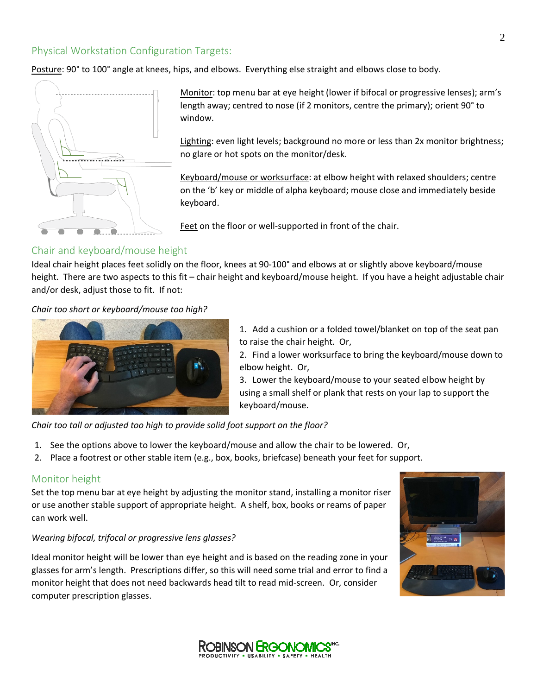### Physical Workstation Configuration Targets:

Posture: 90° to 100° angle at knees, hips, and elbows. Everything else straight and elbows close to body.



Monitor: top menu bar at eye height (lower if bifocal or progressive lenses); arm's length away; centred to nose (if 2 monitors, centre the primary); orient 90° to window.

Lighting: even light levels; background no more or less than 2x monitor brightness; no glare or hot spots on the monitor/desk.

Keyboard/mouse or worksurface: at elbow height with relaxed shoulders; centre on the 'b' key or middle of alpha keyboard; mouse close and immediately beside keyboard.

Feet on the floor or well-supported in front of the chair.

#### Chair and keyboard/mouse height

Ideal chair height places feet solidly on the floor, knees at 90-100° and elbows at or slightly above keyboard/mouse height. There are two aspects to this fit – chair height and keyboard/mouse height. If you have a height adjustable chair and/or desk, adjust those to fit. If not:

*Chair too short or keyboard/mouse too high?*



1. Add a cushion or a folded towel/blanket on top of the seat pan to raise the chair height. Or,

2. Find a lower worksurface to bring the keyboard/mouse down to elbow height. Or,

3. Lower the keyboard/mouse to your seated elbow height by using a small shelf or plank that rests on your lap to support the keyboard/mouse.

*Chair too tall or adjusted too high to provide solid foot support on the floor?*

- 1. See the options above to lower the keyboard/mouse and allow the chair to be lowered. Or,
- 2. Place a footrest or other stable item (e.g., box, books, briefcase) beneath your feet for support.

#### Monitor height

Set the top menu bar at eye height by adjusting the monitor stand, installing a monitor riser or use another stable support of appropriate height. A shelf, box, books or reams of paper can work well.

#### *Wearing bifocal, trifocal or progressive lens glasses?*

Ideal monitor height will be lower than eye height and is based on the reading zone in your glasses for arm's length. Prescriptions differ, so this will need some trial and error to find a monitor height that does not need backwards head tilt to read mid-screen. Or, consider computer prescription glasses.



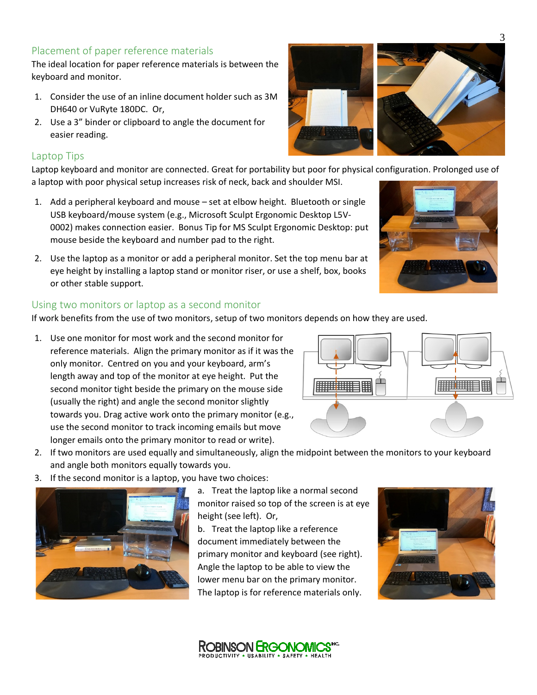### Placement of paper reference materials

The ideal location for paper reference materials is between the keyboard and monitor.

- 1. Consider the use of an inline document holder such as 3M DH640 or VuRyte 180DC. Or,
- 2. Use a 3" binder or clipboard to angle the document for easier reading.

### Laptop Tips

Laptop keyboard and monitor are connected. Great for portability but poor for physical configuration. Prolonged use of a laptop with poor physical setup increases risk of neck, back and shoulder MSI.

- 1. Add a peripheral keyboard and mouse set at elbow height. Bluetooth or single USB keyboard/mouse system (e.g., Microsoft Sculpt Ergonomic Desktop L5V-0002) makes connection easier. Bonus Tip for MS Sculpt Ergonomic Desktop: put mouse beside the keyboard and number pad to the right.
- 2. Use the laptop as a monitor or add a peripheral monitor. Set the top menu bar at eye height by installing a laptop stand or monitor riser, or use a shelf, box, books or other stable support.

### Using two monitors or laptop as a second monitor

If work benefits from the use of two monitors, setup of two monitors depends on how they are used.

- 1. Use one monitor for most work and the second monitor for reference materials. Align the primary monitor as if it was the only monitor. Centred on you and your keyboard, arm's length away and top of the monitor at eye height. Put the second monitor tight beside the primary on the mouse side (usually the right) and angle the second monitor slightly towards you. Drag active work onto the primary monitor (e.g., use the second monitor to track incoming emails but move longer emails onto the primary monitor to read or write).
- 2. If two monitors are used equally and simultaneously, align the midpoint between the monitors to your keyboard and angle both monitors equally towards you.
- 3. If the second monitor is a laptop, you have two choices:



a. Treat the laptop like a normal second monitor raised so top of the screen is at eye height (see left). Or,

b. Treat the laptop like a reference document immediately between the primary monitor and keyboard (see right). Angle the laptop to be able to view the lower menu bar on the primary monitor. The laptop is for reference materials only.